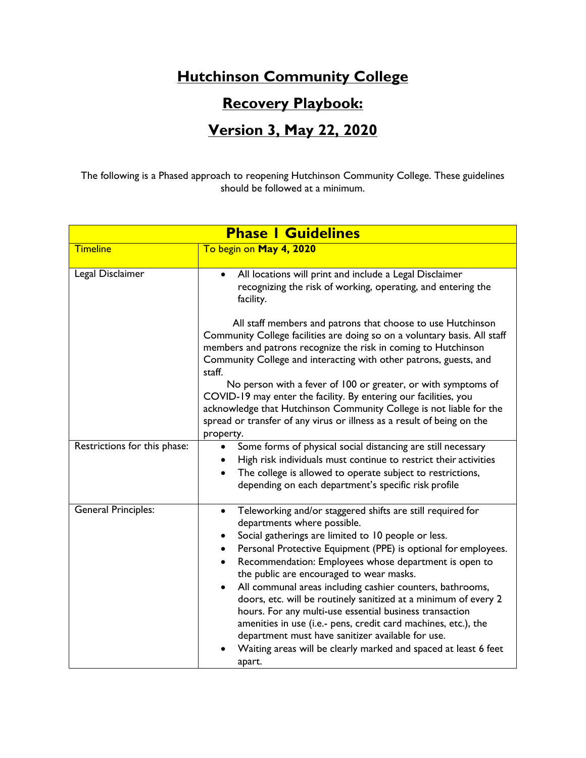## **Hutchinson Community College**

## **Recovery Playbook:**

## **Version 3, May 22, 2020**

The following is a Phased approach to reopening Hutchinson Community College. These guidelines should be followed at a minimum.

| <b>Phase I Guidelines</b>    |                                                                                                                                                                                                                                                                                                                                                                                                                                                                                                                                                                                                                                                                                                                                     |  |
|------------------------------|-------------------------------------------------------------------------------------------------------------------------------------------------------------------------------------------------------------------------------------------------------------------------------------------------------------------------------------------------------------------------------------------------------------------------------------------------------------------------------------------------------------------------------------------------------------------------------------------------------------------------------------------------------------------------------------------------------------------------------------|--|
| <b>Timeline</b>              | To begin on May 4, 2020                                                                                                                                                                                                                                                                                                                                                                                                                                                                                                                                                                                                                                                                                                             |  |
| Legal Disclaimer             | All locations will print and include a Legal Disclaimer<br>$\bullet$<br>recognizing the risk of working, operating, and entering the<br>facility.                                                                                                                                                                                                                                                                                                                                                                                                                                                                                                                                                                                   |  |
|                              | All staff members and patrons that choose to use Hutchinson<br>Community College facilities are doing so on a voluntary basis. All staff<br>members and patrons recognize the risk in coming to Hutchinson<br>Community College and interacting with other patrons, guests, and<br>staff.<br>No person with a fever of 100 or greater, or with symptoms of<br>COVID-19 may enter the facility. By entering our facilities, you<br>acknowledge that Hutchinson Community College is not liable for the<br>spread or transfer of any virus or illness as a result of being on the<br>property.                                                                                                                                        |  |
| Restrictions for this phase: | Some forms of physical social distancing are still necessary<br>$\bullet$<br>High risk individuals must continue to restrict their activities<br>The college is allowed to operate subject to restrictions,<br>depending on each department's specific risk profile                                                                                                                                                                                                                                                                                                                                                                                                                                                                 |  |
| <b>General Principles:</b>   | Teleworking and/or staggered shifts are still required for<br>$\bullet$<br>departments where possible.<br>Social gatherings are limited to 10 people or less.<br>Personal Protective Equipment (PPE) is optional for employees.<br>Recommendation: Employees whose department is open to<br>the public are encouraged to wear masks.<br>All communal areas including cashier counters, bathrooms,<br>doors, etc. will be routinely sanitized at a minimum of every 2<br>hours. For any multi-use essential business transaction<br>amenities in use (i.e.- pens, credit card machines, etc.), the<br>department must have sanitizer available for use.<br>Waiting areas will be clearly marked and spaced at least 6 feet<br>apart. |  |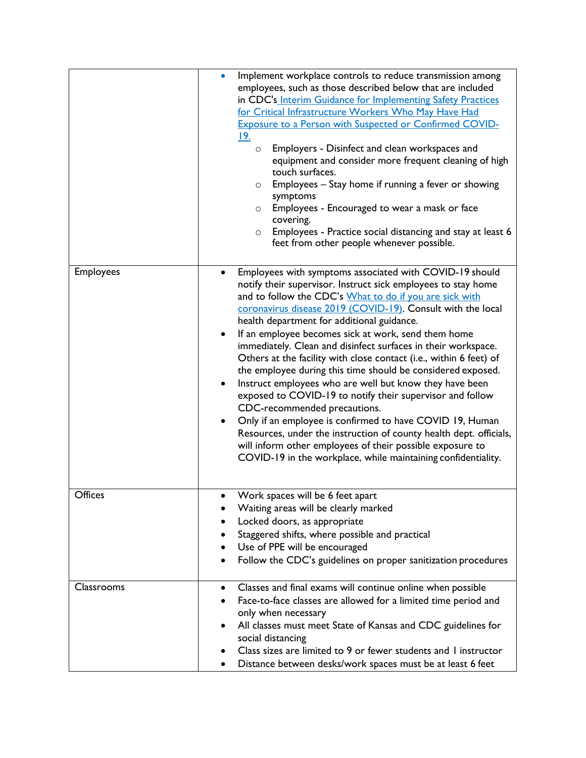|                  | Implement workplace controls to reduce transmission among<br>employees, such as those described below that are included<br>in CDC's Interim Guidance for Implementing Safety Practices<br>for Critical Infrastructure Workers Who May Have Had<br><b>Exposure to a Person with Suspected or Confirmed COVID-</b><br><u> 19.</u><br>Employers - Disinfect and clean workspaces and<br>$\circ$<br>equipment and consider more frequent cleaning of high<br>touch surfaces.<br>Employees - Stay home if running a fever or showing<br>$\circ$<br>symptoms<br>Employees - Encouraged to wear a mask or face<br>$\circ$<br>covering.<br>Employees - Practice social distancing and stay at least 6<br>$\circ$<br>feet from other people whenever possible.                                                                                                                                                                                                                                      |
|------------------|--------------------------------------------------------------------------------------------------------------------------------------------------------------------------------------------------------------------------------------------------------------------------------------------------------------------------------------------------------------------------------------------------------------------------------------------------------------------------------------------------------------------------------------------------------------------------------------------------------------------------------------------------------------------------------------------------------------------------------------------------------------------------------------------------------------------------------------------------------------------------------------------------------------------------------------------------------------------------------------------|
| <b>Employees</b> | Employees with symptoms associated with COVID-19 should<br>notify their supervisor. Instruct sick employees to stay home<br>and to follow the CDC's What to do if you are sick with<br>coronavirus disease 2019 (COVID-19). Consult with the local<br>health department for additional guidance.<br>If an employee becomes sick at work, send them home<br>immediately. Clean and disinfect surfaces in their workspace.<br>Others at the facility with close contact (i.e., within 6 feet) of<br>the employee during this time should be considered exposed.<br>Instruct employees who are well but know they have been<br>exposed to COVID-19 to notify their supervisor and follow<br>CDC-recommended precautions.<br>Only if an employee is confirmed to have COVID 19, Human<br>٠<br>Resources, under the instruction of county health dept. officials,<br>will inform other employees of their possible exposure to<br>COVID-19 in the workplace, while maintaining confidentiality. |
| Offices          | Work spaces will be 6 feet apart<br>$\bullet$<br>Waiting areas will be clearly marked<br>Locked doors, as appropriate<br>Staggered shifts, where possible and practical<br>Use of PPE will be encouraged<br>Follow the CDC's guidelines on proper sanitization procedures                                                                                                                                                                                                                                                                                                                                                                                                                                                                                                                                                                                                                                                                                                                  |
| Classrooms       | Classes and final exams will continue online when possible<br>$\bullet$<br>Face-to-face classes are allowed for a limited time period and<br>only when necessary<br>All classes must meet State of Kansas and CDC guidelines for<br>social distancing<br>Class sizes are limited to 9 or fewer students and I instructor<br>Distance between desks/work spaces must be at least 6 feet                                                                                                                                                                                                                                                                                                                                                                                                                                                                                                                                                                                                     |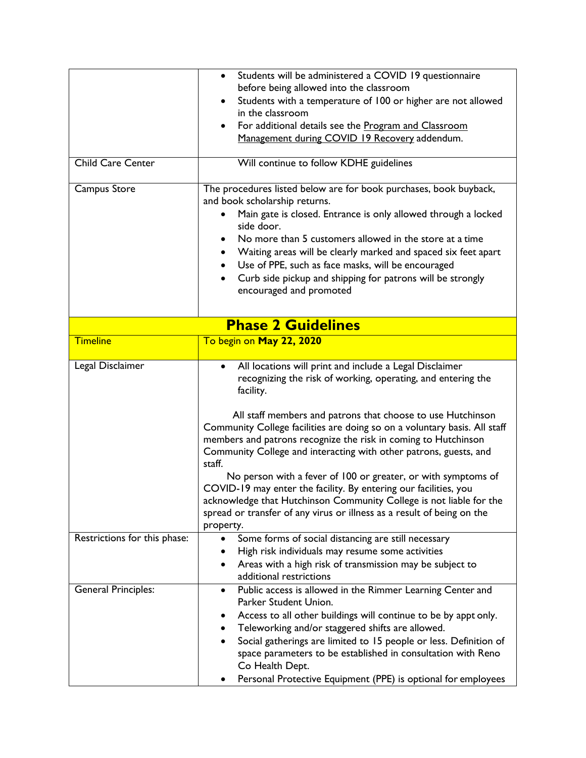|                              | Students will be administered a COVID 19 questionnaire<br>$\bullet$<br>before being allowed into the classroom<br>Students with a temperature of 100 or higher are not allowed<br>in the classroom<br>For additional details see the Program and Classroom                                                                                                                                                                                                     |  |  |
|------------------------------|----------------------------------------------------------------------------------------------------------------------------------------------------------------------------------------------------------------------------------------------------------------------------------------------------------------------------------------------------------------------------------------------------------------------------------------------------------------|--|--|
| <b>Child Care Center</b>     | Management during COVID 19 Recovery addendum.                                                                                                                                                                                                                                                                                                                                                                                                                  |  |  |
|                              | Will continue to follow KDHE guidelines                                                                                                                                                                                                                                                                                                                                                                                                                        |  |  |
| Campus Store                 | The procedures listed below are for book purchases, book buyback,<br>and book scholarship returns.<br>Main gate is closed. Entrance is only allowed through a locked<br>side door.<br>No more than 5 customers allowed in the store at a time<br>Waiting areas will be clearly marked and spaced six feet apart<br>Use of PPE, such as face masks, will be encouraged<br>Curb side pickup and shipping for patrons will be strongly<br>encouraged and promoted |  |  |
| <b>Phase 2 Guidelines</b>    |                                                                                                                                                                                                                                                                                                                                                                                                                                                                |  |  |
| <b>Timeline</b>              | To begin on May 22, 2020                                                                                                                                                                                                                                                                                                                                                                                                                                       |  |  |
| Legal Disclaimer             | All locations will print and include a Legal Disclaimer<br>$\bullet$<br>recognizing the risk of working, operating, and entering the<br>facility.                                                                                                                                                                                                                                                                                                              |  |  |
|                              | All staff members and patrons that choose to use Hutchinson<br>Community College facilities are doing so on a voluntary basis. All staff<br>members and patrons recognize the risk in coming to Hutchinson<br>Community College and interacting with other patrons, guests, and<br>staff.                                                                                                                                                                      |  |  |
|                              | No person with a fever of 100 or greater, or with symptoms of<br>COVID-19 may enter the facility. By entering our facilities, you<br>acknowledge that Hutchinson Community College is not liable for the<br>spread or transfer of any virus or illness as a result of being on the<br>property.                                                                                                                                                                |  |  |
| Restrictions for this phase: | Some forms of social distancing are still necessary<br>٠<br>High risk individuals may resume some activities<br>Areas with a high risk of transmission may be subject to<br>$\bullet$<br>additional restrictions                                                                                                                                                                                                                                               |  |  |
| <b>General Principles:</b>   | Public access is allowed in the Rimmer Learning Center and<br>$\bullet$<br>Parker Student Union.<br>Access to all other buildings will continue to be by appt only.<br>Teleworking and/or staggered shifts are allowed.<br>Social gatherings are limited to 15 people or less. Definition of<br>space parameters to be established in consultation with Reno<br>Co Health Dept.<br>Personal Protective Equipment (PPE) is optional for employees               |  |  |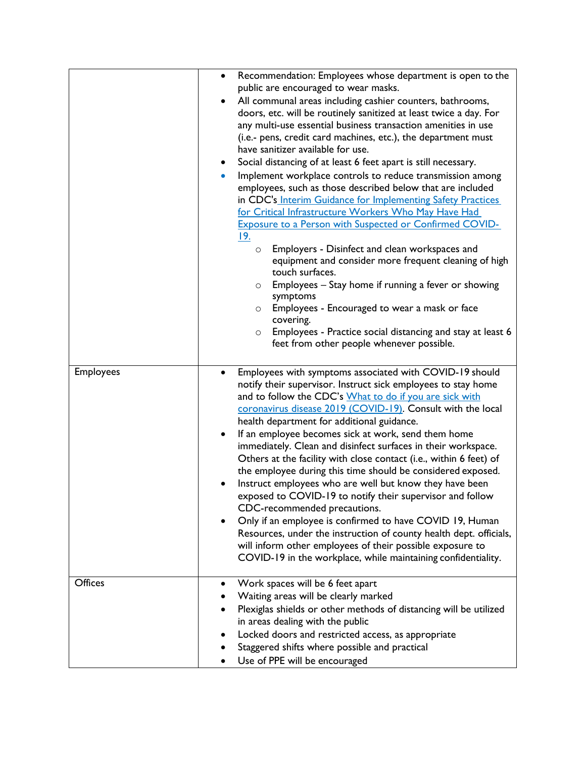|                  | ٠<br>$\bullet$<br>$\bullet$ | Recommendation: Employees whose department is open to the<br>public are encouraged to wear masks.<br>All communal areas including cashier counters, bathrooms,<br>doors, etc. will be routinely sanitized at least twice a day. For<br>any multi-use essential business transaction amenities in use<br>(i.e.- pens, credit card machines, etc.), the department must<br>have sanitizer available for use.<br>Social distancing of at least 6 feet apart is still necessary.<br>Implement workplace controls to reduce transmission among<br>employees, such as those described below that are included<br>in CDC's Interim Guidance for Implementing Safety Practices<br>for Critical Infrastructure Workers Who May Have Had<br><b>Exposure to a Person with Suspected or Confirmed COVID-</b><br><u> 19. </u><br>Employers - Disinfect and clean workspaces and<br>$\circ$<br>equipment and consider more frequent cleaning of high<br>touch surfaces.<br>Employees - Stay home if running a fever or showing<br>$\circ$<br>symptoms<br>Employees - Encouraged to wear a mask or face<br>$\circ$<br>covering.<br>Employees - Practice social distancing and stay at least 6<br>$\circ$<br>feet from other people whenever possible. |
|------------------|-----------------------------|----------------------------------------------------------------------------------------------------------------------------------------------------------------------------------------------------------------------------------------------------------------------------------------------------------------------------------------------------------------------------------------------------------------------------------------------------------------------------------------------------------------------------------------------------------------------------------------------------------------------------------------------------------------------------------------------------------------------------------------------------------------------------------------------------------------------------------------------------------------------------------------------------------------------------------------------------------------------------------------------------------------------------------------------------------------------------------------------------------------------------------------------------------------------------------------------------------------------------------------|
| <b>Employees</b> | ٠<br>$\bullet$              | Employees with symptoms associated with COVID-19 should<br>notify their supervisor. Instruct sick employees to stay home<br>and to follow the CDC's What to do if you are sick with<br>coronavirus disease 2019 (COVID-19). Consult with the local<br>health department for additional guidance.<br>If an employee becomes sick at work, send them home<br>immediately. Clean and disinfect surfaces in their workspace.<br>Others at the facility with close contact (i.e., within 6 feet) of<br>the employee during this time should be considered exposed.<br>Instruct employees who are well but know they have been<br>exposed to COVID-19 to notify their supervisor and follow<br>CDC-recommended precautions.<br>Only if an employee is confirmed to have COVID 19, Human<br>Resources, under the instruction of county health dept. officials,<br>will inform other employees of their possible exposure to<br>COVID-19 in the workplace, while maintaining confidentiality.                                                                                                                                                                                                                                                  |
| <b>Offices</b>   | ٠                           | Work spaces will be 6 feet apart<br>Waiting areas will be clearly marked<br>Plexiglas shields or other methods of distancing will be utilized<br>in areas dealing with the public<br>Locked doors and restricted access, as appropriate<br>Staggered shifts where possible and practical<br>Use of PPE will be encouraged                                                                                                                                                                                                                                                                                                                                                                                                                                                                                                                                                                                                                                                                                                                                                                                                                                                                                                              |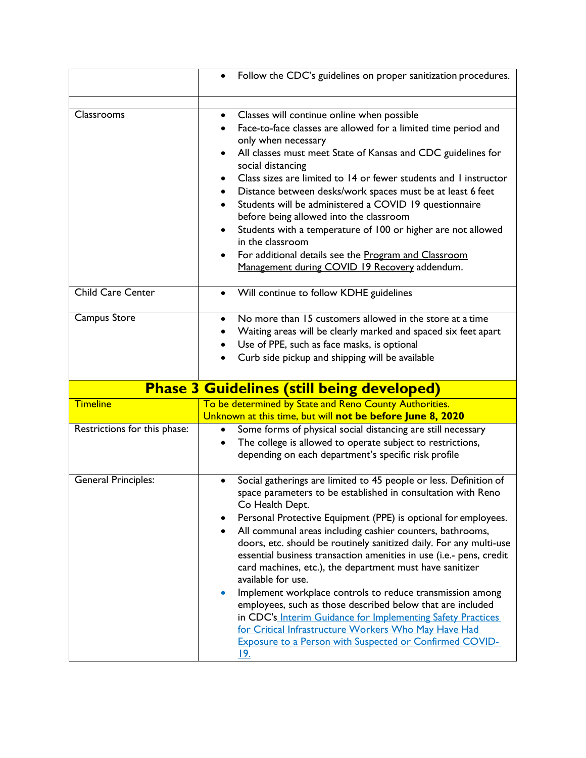|                              | Follow the CDC's guidelines on proper sanitization procedures.<br>$\bullet$                                                                                                                                                                                                                                                                                                                                                                                                                                                                                                                                                                                                                         |
|------------------------------|-----------------------------------------------------------------------------------------------------------------------------------------------------------------------------------------------------------------------------------------------------------------------------------------------------------------------------------------------------------------------------------------------------------------------------------------------------------------------------------------------------------------------------------------------------------------------------------------------------------------------------------------------------------------------------------------------------|
| Classrooms                   | Classes will continue online when possible<br>$\bullet$<br>Face-to-face classes are allowed for a limited time period and<br>only when necessary<br>All classes must meet State of Kansas and CDC guidelines for<br>$\bullet$<br>social distancing<br>Class sizes are limited to 14 or fewer students and 1 instructor<br>Distance between desks/work spaces must be at least 6 feet<br>Students will be administered a COVID 19 questionnaire<br>before being allowed into the classroom<br>Students with a temperature of 100 or higher are not allowed<br>$\bullet$<br>in the classroom<br>For additional details see the Program and Classroom<br>Management during COVID 19 Recovery addendum. |
| <b>Child Care Center</b>     | Will continue to follow KDHE guidelines<br>$\bullet$                                                                                                                                                                                                                                                                                                                                                                                                                                                                                                                                                                                                                                                |
| Campus Store                 | No more than 15 customers allowed in the store at a time<br>$\bullet$<br>Waiting areas will be clearly marked and spaced six feet apart<br>Use of PPE, such as face masks, is optional<br>Curb side pickup and shipping will be available                                                                                                                                                                                                                                                                                                                                                                                                                                                           |
|                              | <b>Phase 3 Guidelines (still being developed)</b>                                                                                                                                                                                                                                                                                                                                                                                                                                                                                                                                                                                                                                                   |
| <b>Timeline</b>              | To be determined by State and Reno County Authorities.                                                                                                                                                                                                                                                                                                                                                                                                                                                                                                                                                                                                                                              |
|                              | Unknown at this time, but will not be before June 8, 2020                                                                                                                                                                                                                                                                                                                                                                                                                                                                                                                                                                                                                                           |
| Restrictions for this phase: | Some forms of physical social distancing are still necessary<br>$\bullet$<br>The college is allowed to operate subject to restrictions,<br>$\bullet$<br>depending on each department's specific risk profile                                                                                                                                                                                                                                                                                                                                                                                                                                                                                        |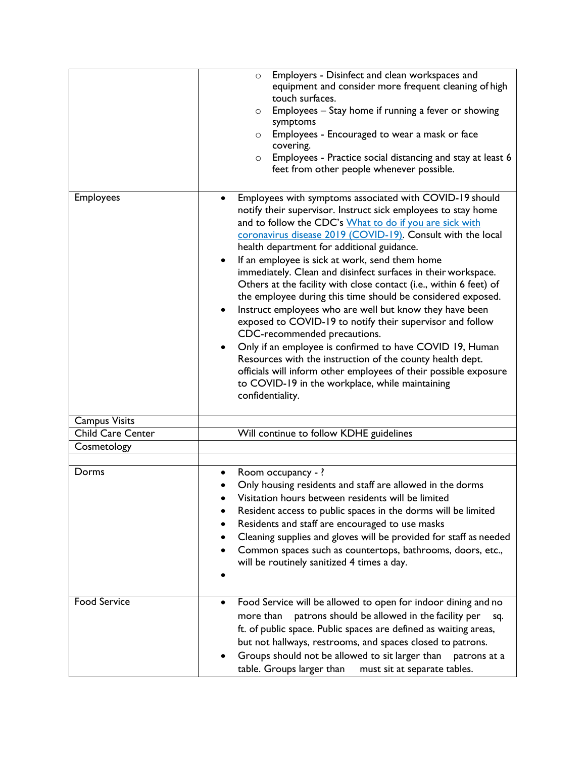|                      | Employers - Disinfect and clean workspaces and<br>$\circ$             |
|----------------------|-----------------------------------------------------------------------|
|                      | equipment and consider more frequent cleaning of high                 |
|                      | touch surfaces.                                                       |
|                      | Employees - Stay home if running a fever or showing<br>$\circ$        |
|                      | symptoms                                                              |
|                      |                                                                       |
|                      | Employees - Encouraged to wear a mask or face<br>$\circ$              |
|                      | covering.                                                             |
|                      | Employees - Practice social distancing and stay at least 6<br>$\circ$ |
|                      | feet from other people whenever possible.                             |
|                      |                                                                       |
| <b>Employees</b>     | Employees with symptoms associated with COVID-19 should               |
|                      | notify their supervisor. Instruct sick employees to stay home         |
|                      |                                                                       |
|                      | and to follow the CDC's What to do if you are sick with               |
|                      | coronavirus disease 2019 (COVID-19). Consult with the local           |
|                      | health department for additional guidance.                            |
|                      | If an employee is sick at work, send them home<br>$\bullet$           |
|                      | immediately. Clean and disinfect surfaces in their workspace.         |
|                      | Others at the facility with close contact (i.e., within 6 feet) of    |
|                      | the employee during this time should be considered exposed.           |
|                      |                                                                       |
|                      | Instruct employees who are well but know they have been               |
|                      | exposed to COVID-19 to notify their supervisor and follow             |
|                      | CDC-recommended precautions.                                          |
|                      | Only if an employee is confirmed to have COVID 19, Human              |
|                      | Resources with the instruction of the county health dept.             |
|                      | officials will inform other employees of their possible exposure      |
|                      |                                                                       |
|                      | to COVID-19 in the workplace, while maintaining                       |
|                      | confidentiality.                                                      |
|                      |                                                                       |
| <b>Campus Visits</b> |                                                                       |
| Child Care Center    | Will continue to follow KDHE guidelines                               |
| Cosmetology          |                                                                       |
|                      |                                                                       |
| Dorms                | Room occupancy -?                                                     |
|                      | Only housing residents and staff are allowed in the dorms             |
|                      |                                                                       |
|                      | Visitation hours between residents will be limited                    |
|                      | Resident access to public spaces in the dorms will be limited         |
|                      | Residents and staff are encouraged to use masks                       |
|                      | Cleaning supplies and gloves will be provided for staff as needed     |
|                      |                                                                       |
|                      | Common spaces such as countertops, bathrooms, doors, etc.,            |
|                      | will be routinely sanitized 4 times a day.                            |
|                      |                                                                       |
|                      |                                                                       |
| <b>Food Service</b>  | Food Service will be allowed to open for indoor dining and no         |
|                      |                                                                       |
|                      | patrons should be allowed in the facility per<br>more than<br>sq.     |
|                      | ft. of public space. Public spaces are defined as waiting areas,      |
|                      | but not hallways, restrooms, and spaces closed to patrons.            |
|                      | Groups should not be allowed to sit larger than<br>patrons at a       |
|                      |                                                                       |
|                      | table. Groups larger than<br>must sit at separate tables.             |